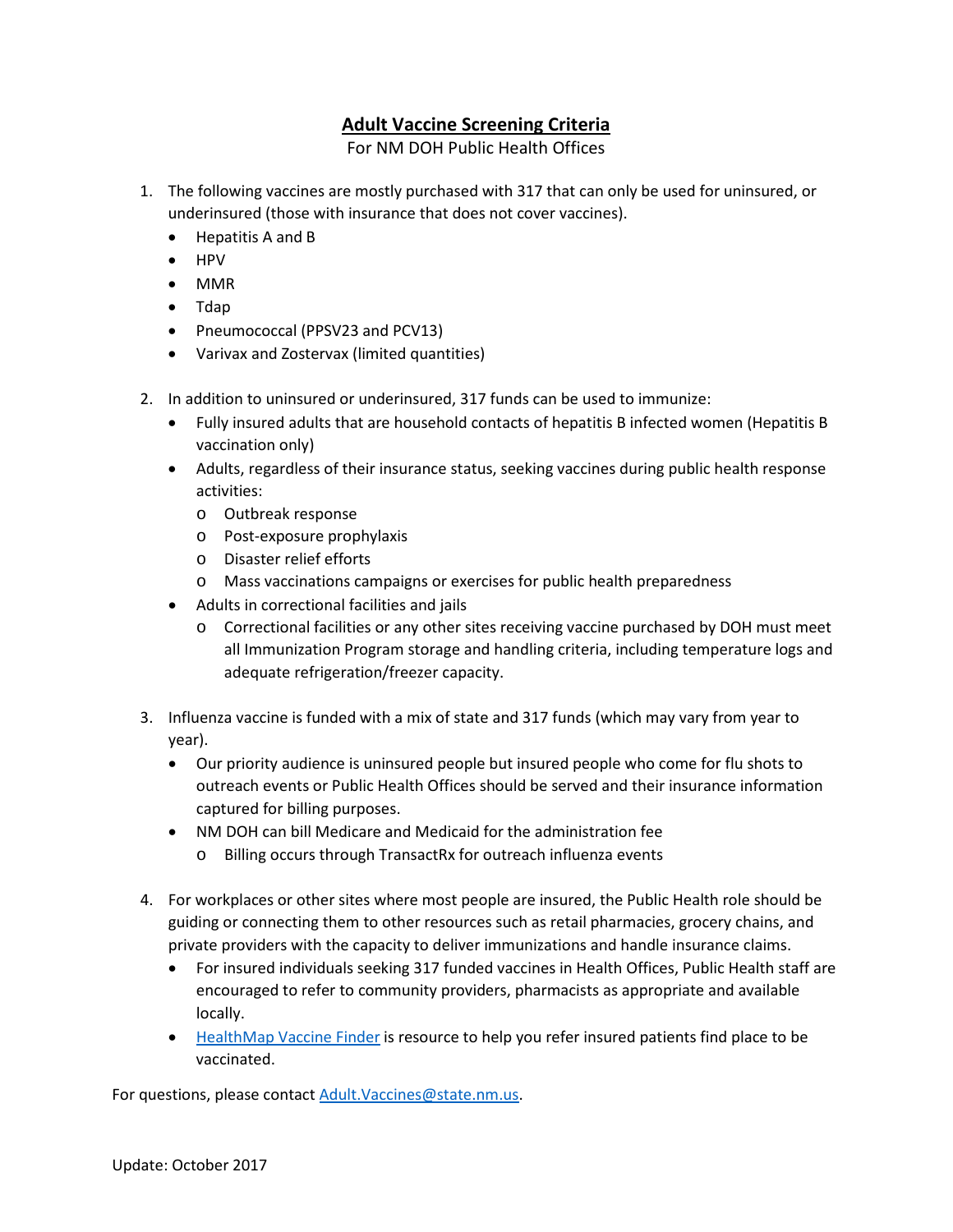# **Adult Vaccine Screening Criteria**

For NM DOH Public Health Offices

- 1. The following vaccines are mostly purchased with 317 that can only be used for uninsured, or underinsured (those with insurance that does not cover vaccines).
	- Hepatitis A and B
	- HPV
	- MMR
	- Tdap
	- Pneumococcal (PPSV23 and PCV13)
	- Varivax and Zostervax (limited quantities)
- 2. In addition to uninsured or underinsured, 317 funds can be used to immunize:
	- Fully insured adults that are household contacts of hepatitis B infected women (Hepatitis B vaccination only)
	- Adults, regardless of their insurance status, seeking vaccines during public health response activities:
		- o Outbreak response
		- o Post-exposure prophylaxis
		- o Disaster relief efforts
		- o Mass vaccinations campaigns or exercises for public health preparedness
	- Adults in correctional facilities and jails
		- o Correctional facilities or any other sites receiving vaccine purchased by DOH must meet all Immunization Program storage and handling criteria, including temperature logs and adequate refrigeration/freezer capacity.
- 3. Influenza vaccine is funded with a mix of state and 317 funds (which may vary from year to year).
	- Our priority audience is uninsured people but insured people who come for flu shots to outreach events or Public Health Offices should be served and their insurance information captured for billing purposes.
	- NM DOH can bill Medicare and Medicaid for the administration fee
		- o Billing occurs through TransactRx for outreach influenza events
- 4. For workplaces or other sites where most people are insured, the Public Health role should be guiding or connecting them to other resources such as retail pharmacies, grocery chains, and private providers with the capacity to deliver immunizations and handle insurance claims.
	- For insured individuals seeking 317 funded vaccines in Health Offices, Public Health staff are encouraged to refer to community providers, pharmacists as appropriate and available locally.
	- [HealthMap Vaccine Finder](https://vaccinefinder.org/) is resource to help you refer insured patients find place to be vaccinated.

For questions, please contact [Adult.Vaccines@state.nm.us.](mailto:Adult.Vaccines@state.nm.us)